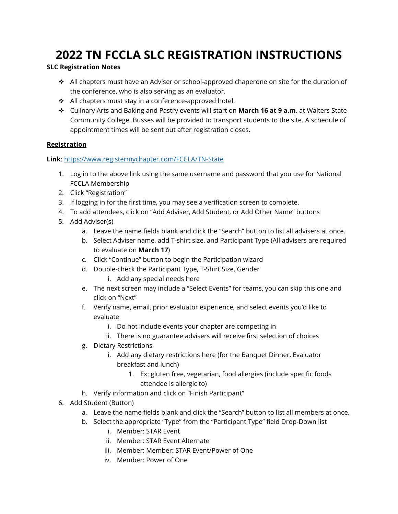## **2022 TN FCCLA SLC REGISTRATION INSTRUCTIONS**

## **SLC Registration Notes**

- All chapters must have an Adviser or school-approved chaperone on site for the duration of the conference, who is also serving as an evaluator.
- All chapters must stay in a conference-approved hotel.
- Culinary Arts and Baking and Pastry events will start on **March 16 at 9 a.m**. at Walters State Community College. Busses will be provided to transport students to the site. A schedule of appointment times will be sent out after registration closes.

## **Registration**

## **Link**[: https://www.registermychapter.com/FCCLA/TN-State](https://www.registermychapter.com/FCCLA/TN-State)

- 1. Log in to the above link using the same username and password that you use for National FCCLA Membership
- 2. Click "Registration"
- 3. If logging in for the first time, you may see a verification screen to complete.
- 4. To add attendees, click on "Add Adviser, Add Student, or Add Other Name" buttons
- 5. Add Adviser(s)
	- a. Leave the name fields blank and click the "Search" button to list all advisers at once.
	- b. Select Adviser name, add T-shirt size, and Participant Type (All advisers are required to evaluate on **March 17**)
	- c. Click "Continue" button to begin the Participation wizard
	- d. Double-check the Participant Type, T-Shirt Size, Gender i. Add any special needs here
	- e. The next screen may include a "Select Events" for teams, you can skip this one and click on "Next"
	- f. Verify name, email, prior evaluator experience, and select events you'd like to evaluate
		- i. Do not include events your chapter are competing in
		- ii. There is no guarantee advisers will receive first selection of choices
	- g. Dietary Restrictions
		- i. Add any dietary restrictions here (for the Banquet Dinner, Evaluator breakfast and lunch)
			- 1. Ex: gluten free, vegetarian, food allergies (include specific foods attendee is allergic to)
	- h. Verify information and click on "Finish Participant"
- 6. Add Student (Button)
	- a. Leave the name fields blank and click the "Search" button to list all members at once.
	- b. Select the appropriate "Type" from the "Participant Type" field Drop-Down list
		- i. Member: STAR Event
		- ii. Member: STAR Event Alternate
		- iii. Member: Member: STAR Event/Power of One
		- iv. Member: Power of One